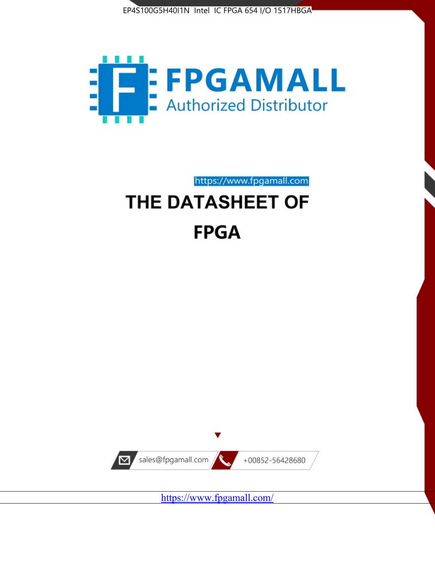



https://www.fpgamall.com

# THE DATASHEET OF **FPGA**



<https://www.fpgamall.com/>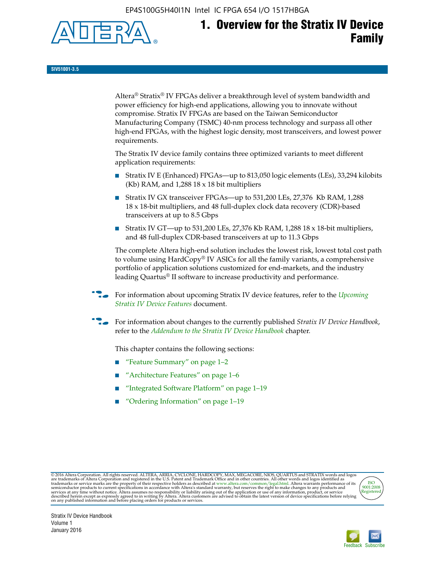EP4S100G5H40I1N Intel IC FPGA 654 I/O 1517HBGA



# **1. Overview for the Stratix IV Device Family**

**SIV51001-3.5**

Altera® Stratix® IV FPGAs deliver a breakthrough level of system bandwidth and power efficiency for high-end applications, allowing you to innovate without compromise. Stratix IV FPGAs are based on the Taiwan Semiconductor Manufacturing Company (TSMC) 40-nm process technology and surpass all other high-end FPGAs, with the highest logic density, most transceivers, and lowest power requirements.

The Stratix IV device family contains three optimized variants to meet different application requirements:

- Stratix IV E (Enhanced) FPGAs—up to 813,050 logic elements (LEs), 33,294 kilobits (Kb) RAM, and 1,288 18 x 18 bit multipliers
- Stratix IV GX transceiver FPGAs—up to 531,200 LEs, 27,376 Kb RAM, 1,288 18 x 18-bit multipliers, and 48 full-duplex clock data recovery (CDR)-based transceivers at up to 8.5 Gbps
- Stratix IV GT—up to 531,200 LEs, 27,376 Kb RAM, 1,288 18 x 18-bit multipliers, and 48 full-duplex CDR-based transceivers at up to 11.3 Gbps

The complete Altera high-end solution includes the lowest risk, lowest total cost path to volume using HardCopy® IV ASICs for all the family variants, a comprehensive portfolio of application solutions customized for end-markets, and the industry leading Quartus® II software to increase productivity and performance.

f For information about upcoming Stratix IV device features, refer to the *[Upcoming](http://www.altera.com/literature/hb/stratix-iv/uf01001.pdf?GSA_pos=2&WT.oss_r=1&WT.oss=upcoming)  [Stratix IV Device Features](http://www.altera.com/literature/hb/stratix-iv/uf01001.pdf?GSA_pos=2&WT.oss_r=1&WT.oss=upcoming)* document.

f For information about changes to the currently published *Stratix IV Device Handbook*, refer to the *[Addendum to the Stratix IV Device Handbook](http://www.altera.com/literature/hb/stratix-iv/stx4_siv54002.pdf)* chapter.

This chapter contains the following sections:

- "Feature Summary" on page 1–2
- "Architecture Features" on page 1–6
- "Integrated Software Platform" on page 1–19
- "Ordering Information" on page 1–19

@2016 Altera Corporation. All rights reserved. ALTERA, ARRIA, CYCLONE, HARDCOPY, MAX, MEGACORE, NIOS, QUARTUS and STRATIX words and logos are trademarks of Altera Corporation and registered in the U.S. Patent and Trademark



Stratix IV Device Handbook Volume 1 January 2016

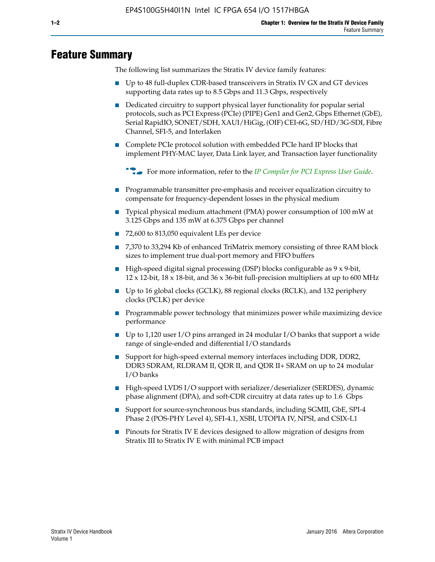# **Feature Summary**

The following list summarizes the Stratix IV device family features:

- Up to 48 full-duplex CDR-based transceivers in Stratix IV GX and GT devices supporting data rates up to 8.5 Gbps and 11.3 Gbps, respectively
- Dedicated circuitry to support physical layer functionality for popular serial protocols, such as PCI Express (PCIe) (PIPE) Gen1 and Gen2, Gbps Ethernet (GbE), Serial RapidIO, SONET/SDH, XAUI/HiGig, (OIF) CEI-6G, SD/HD/3G-SDI, Fibre Channel, SFI-5, and Interlaken
- Complete PCIe protocol solution with embedded PCIe hard IP blocks that implement PHY-MAC layer, Data Link layer, and Transaction layer functionality

**For more information, refer to the** *[IP Compiler for PCI Express User Guide](http://www.altera.com/literature/ug/ug_pci_express.pdf)***.** 

- Programmable transmitter pre-emphasis and receiver equalization circuitry to compensate for frequency-dependent losses in the physical medium
- Typical physical medium attachment (PMA) power consumption of 100 mW at 3.125 Gbps and 135 mW at 6.375 Gbps per channel
- 72,600 to 813,050 equivalent LEs per device
- 7,370 to 33,294 Kb of enhanced TriMatrix memory consisting of three RAM block sizes to implement true dual-port memory and FIFO buffers
- High-speed digital signal processing (DSP) blocks configurable as 9 x 9-bit,  $12 \times 12$ -bit,  $18 \times 18$ -bit, and  $36 \times 36$ -bit full-precision multipliers at up to 600 MHz
- Up to 16 global clocks (GCLK), 88 regional clocks (RCLK), and 132 periphery clocks (PCLK) per device
- Programmable power technology that minimizes power while maximizing device performance
- Up to 1,120 user I/O pins arranged in 24 modular I/O banks that support a wide range of single-ended and differential I/O standards
- Support for high-speed external memory interfaces including DDR, DDR2, DDR3 SDRAM, RLDRAM II, QDR II, and QDR II+ SRAM on up to 24 modular I/O banks
- High-speed LVDS I/O support with serializer/deserializer (SERDES), dynamic phase alignment (DPA), and soft-CDR circuitry at data rates up to 1.6 Gbps
- Support for source-synchronous bus standards, including SGMII, GbE, SPI-4 Phase 2 (POS-PHY Level 4), SFI-4.1, XSBI, UTOPIA IV, NPSI, and CSIX-L1
- Pinouts for Stratix IV E devices designed to allow migration of designs from Stratix III to Stratix IV E with minimal PCB impact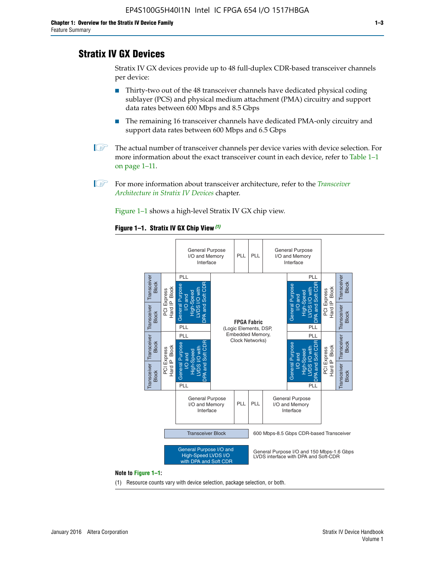# **Stratix IV GX Devices**

Stratix IV GX devices provide up to 48 full-duplex CDR-based transceiver channels per device:

- Thirty-two out of the 48 transceiver channels have dedicated physical coding sublayer (PCS) and physical medium attachment (PMA) circuitry and support data rates between 600 Mbps and 8.5 Gbps
- The remaining 16 transceiver channels have dedicated PMA-only circuitry and support data rates between 600 Mbps and 6.5 Gbps
- **1 The actual number of transceiver channels per device varies with device selection. For** more information about the exact transceiver count in each device, refer to Table 1–1 on page 1–11.
- 1 For more information about transceiver architecture, refer to the *[Transceiver](http://www.altera.com/literature/hb/stratix-iv/stx4_siv52001.pdf)  [Architecture in Stratix IV Devices](http://www.altera.com/literature/hb/stratix-iv/stx4_siv52001.pdf)* chapter.

Figure 1–1 shows a high-level Stratix IV GX chip view.

#### **Figure 1–1. Stratix IV GX Chip View** *(1)*



#### **Note to Figure 1–1:**

(1) Resource counts vary with device selection, package selection, or both.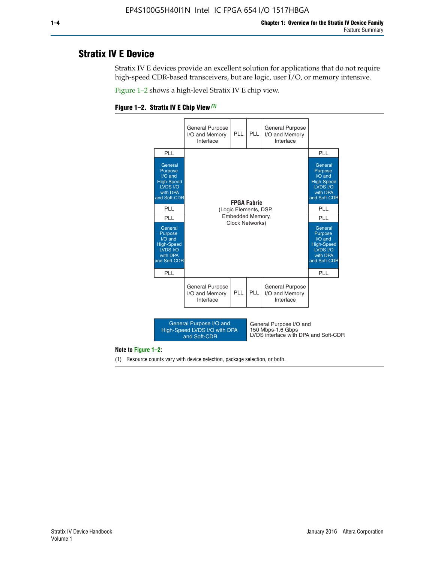# **Stratix IV E Device**

Stratix IV E devices provide an excellent solution for applications that do not require high-speed CDR-based transceivers, but are logic, user I/O, or memory intensive.

Figure 1–2 shows a high-level Stratix IV E chip view.





#### **Note to Figure 1–2:**

(1) Resource counts vary with device selection, package selection, or both.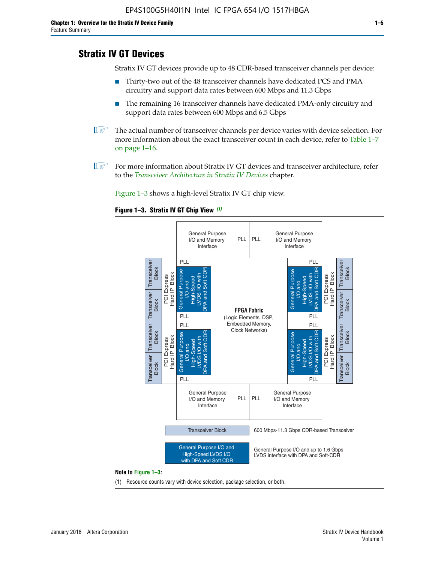# **Stratix IV GT Devices**

Stratix IV GT devices provide up to 48 CDR-based transceiver channels per device:

- Thirty-two out of the 48 transceiver channels have dedicated PCS and PMA circuitry and support data rates between 600 Mbps and 11.3 Gbps
- The remaining 16 transceiver channels have dedicated PMA-only circuitry and support data rates between 600 Mbps and 6.5 Gbps
- **1** The actual number of transceiver channels per device varies with device selection. For more information about the exact transceiver count in each device, refer to Table 1–7 on page 1–16.
- $\mathbb{I}$  For more information about Stratix IV GT devices and transceiver architecture, refer to the *[Transceiver Architecture in Stratix IV Devices](http://www.altera.com/literature/hb/stratix-iv/stx4_siv52001.pdf)* chapter.

Figure 1–3 shows a high-level Stratix IV GT chip view.





(1) Resource counts vary with device selection, package selection, or both.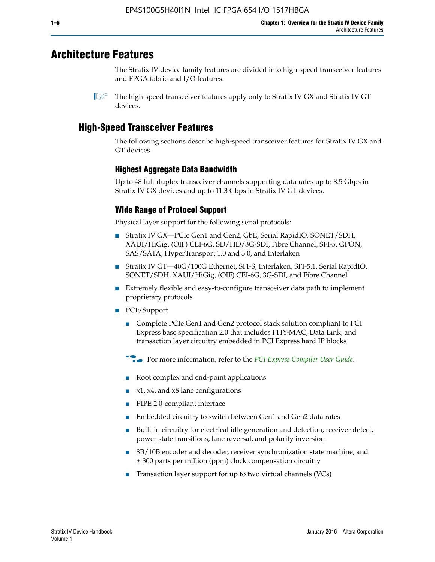# **Architecture Features**

The Stratix IV device family features are divided into high-speed transceiver features and FPGA fabric and I/O features.

 $\mathbb{I}$  The high-speed transceiver features apply only to Stratix IV GX and Stratix IV GT devices.

# **High-Speed Transceiver Features**

The following sections describe high-speed transceiver features for Stratix IV GX and GT devices.

## **Highest Aggregate Data Bandwidth**

Up to 48 full-duplex transceiver channels supporting data rates up to 8.5 Gbps in Stratix IV GX devices and up to 11.3 Gbps in Stratix IV GT devices.

## **Wide Range of Protocol Support**

Physical layer support for the following serial protocols:

- Stratix IV GX—PCIe Gen1 and Gen2, GbE, Serial RapidIO, SONET/SDH, XAUI/HiGig, (OIF) CEI-6G, SD/HD/3G-SDI, Fibre Channel, SFI-5, GPON, SAS/SATA, HyperTransport 1.0 and 3.0, and Interlaken
- Stratix IV GT—40G/100G Ethernet, SFI-S, Interlaken, SFI-5.1, Serial RapidIO, SONET/SDH, XAUI/HiGig, (OIF) CEI-6G, 3G-SDI, and Fibre Channel
- Extremely flexible and easy-to-configure transceiver data path to implement proprietary protocols
- PCIe Support
	- Complete PCIe Gen1 and Gen2 protocol stack solution compliant to PCI Express base specification 2.0 that includes PHY-MAC, Data Link, and transaction layer circuitry embedded in PCI Express hard IP blocks
	- **For more information, refer to the [PCI Express Compiler User Guide](http://www.altera.com/literature/ug/ug_pci_express.pdf).**
	- Root complex and end-point applications
	- $x1, x4,$  and  $x8$  lane configurations
	- PIPE 2.0-compliant interface
	- Embedded circuitry to switch between Gen1 and Gen2 data rates
	- Built-in circuitry for electrical idle generation and detection, receiver detect, power state transitions, lane reversal, and polarity inversion
	- 8B/10B encoder and decoder, receiver synchronization state machine, and ± 300 parts per million (ppm) clock compensation circuitry
	- Transaction layer support for up to two virtual channels (VCs)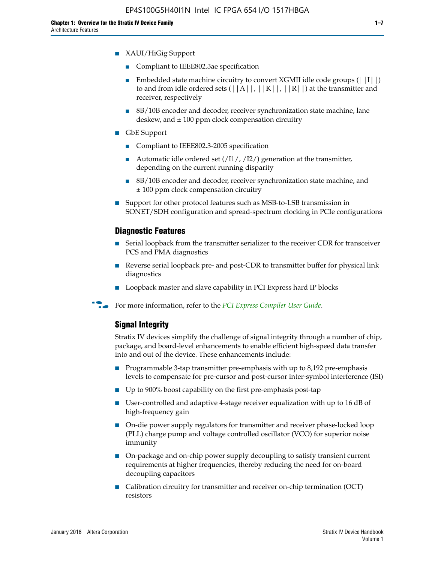- Compliant to IEEE802.3ae specification
- **■** Embedded state machine circuitry to convert XGMII idle code groups  $(|11|)$ to and from idle ordered sets  $(|A|, |K|, |R|)$  at the transmitter and receiver, respectively
- 8B/10B encoder and decoder, receiver synchronization state machine, lane deskew, and  $\pm 100$  ppm clock compensation circuitry
- GbE Support
	- Compliant to IEEE802.3-2005 specification
	- Automatic idle ordered set  $(111/112/1)$  generation at the transmitter, depending on the current running disparity
	- 8B/10B encoder and decoder, receiver synchronization state machine, and ± 100 ppm clock compensation circuitry
- Support for other protocol features such as MSB-to-LSB transmission in SONET/SDH configuration and spread-spectrum clocking in PCIe configurations

#### **Diagnostic Features**

- Serial loopback from the transmitter serializer to the receiver CDR for transceiver PCS and PMA diagnostics
- Reverse serial loopback pre- and post-CDR to transmitter buffer for physical link diagnostics
- Loopback master and slave capability in PCI Express hard IP blocks
- **For more information, refer to the** *[PCI Express Compiler User Guide](http://www.altera.com/literature/ug/ug_pci_express.pdf)***.**

#### **Signal Integrity**

Stratix IV devices simplify the challenge of signal integrity through a number of chip, package, and board-level enhancements to enable efficient high-speed data transfer into and out of the device. These enhancements include:

- Programmable 3-tap transmitter pre-emphasis with up to 8,192 pre-emphasis levels to compensate for pre-cursor and post-cursor inter-symbol interference (ISI)
- Up to 900% boost capability on the first pre-emphasis post-tap
- User-controlled and adaptive 4-stage receiver equalization with up to 16 dB of high-frequency gain
- On-die power supply regulators for transmitter and receiver phase-locked loop (PLL) charge pump and voltage controlled oscillator (VCO) for superior noise immunity
- On-package and on-chip power supply decoupling to satisfy transient current requirements at higher frequencies, thereby reducing the need for on-board decoupling capacitors
- Calibration circuitry for transmitter and receiver on-chip termination (OCT) resistors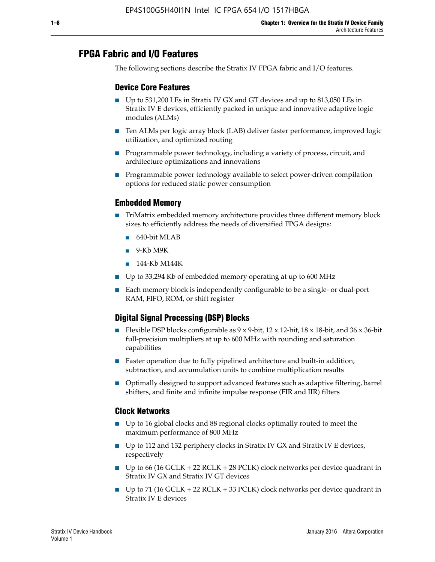# **FPGA Fabric and I/O Features**

The following sections describe the Stratix IV FPGA fabric and I/O features.

### **Device Core Features**

- Up to 531,200 LEs in Stratix IV GX and GT devices and up to 813,050 LEs in Stratix IV E devices, efficiently packed in unique and innovative adaptive logic modules (ALMs)
- Ten ALMs per logic array block (LAB) deliver faster performance, improved logic utilization, and optimized routing
- Programmable power technology, including a variety of process, circuit, and architecture optimizations and innovations
- Programmable power technology available to select power-driven compilation options for reduced static power consumption

#### **Embedded Memory**

- TriMatrix embedded memory architecture provides three different memory block sizes to efficiently address the needs of diversified FPGA designs:
	- 640-bit MLAB
	- 9-Kb M9K
	- 144-Kb M144K
- Up to 33,294 Kb of embedded memory operating at up to 600 MHz
- Each memory block is independently configurable to be a single- or dual-port RAM, FIFO, ROM, or shift register

### **Digital Signal Processing (DSP) Blocks**

- Flexible DSP blocks configurable as  $9 \times 9$ -bit,  $12 \times 12$ -bit,  $18 \times 18$ -bit, and  $36 \times 36$ -bit full-precision multipliers at up to 600 MHz with rounding and saturation capabilities
- Faster operation due to fully pipelined architecture and built-in addition, subtraction, and accumulation units to combine multiplication results
- Optimally designed to support advanced features such as adaptive filtering, barrel shifters, and finite and infinite impulse response (FIR and IIR) filters

#### **Clock Networks**

- Up to 16 global clocks and 88 regional clocks optimally routed to meet the maximum performance of 800 MHz
- Up to 112 and 132 periphery clocks in Stratix IV GX and Stratix IV E devices, respectively
- Up to 66 (16 GCLK + 22 RCLK + 28 PCLK) clock networks per device quadrant in Stratix IV GX and Stratix IV GT devices
- Up to 71 (16 GCLK + 22 RCLK + 33 PCLK) clock networks per device quadrant in Stratix IV E devices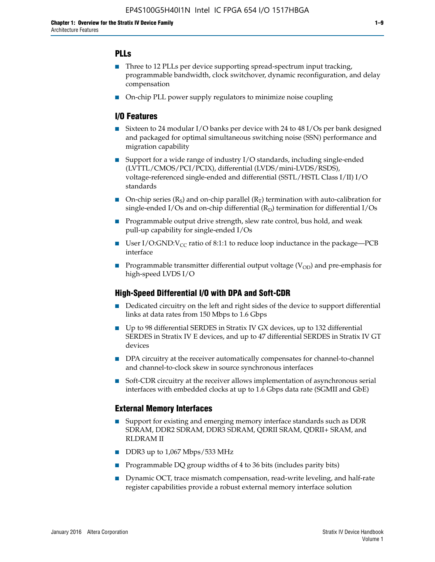### **PLLs**

- Three to 12 PLLs per device supporting spread-spectrum input tracking, programmable bandwidth, clock switchover, dynamic reconfiguration, and delay compensation
- On-chip PLL power supply regulators to minimize noise coupling

#### **I/O Features**

- Sixteen to 24 modular I/O banks per device with 24 to 48 I/Os per bank designed and packaged for optimal simultaneous switching noise (SSN) performance and migration capability
- Support for a wide range of industry I/O standards, including single-ended (LVTTL/CMOS/PCI/PCIX), differential (LVDS/mini-LVDS/RSDS), voltage-referenced single-ended and differential (SSTL/HSTL Class I/II) I/O standards
- **O**n-chip series  $(R_S)$  and on-chip parallel  $(R_T)$  termination with auto-calibration for single-ended I/Os and on-chip differential  $(R_D)$  termination for differential I/Os
- Programmable output drive strength, slew rate control, bus hold, and weak pull-up capability for single-ended I/Os
- User I/O:GND: $V_{CC}$  ratio of 8:1:1 to reduce loop inductance in the package—PCB interface
- **■** Programmable transmitter differential output voltage ( $V_{OD}$ ) and pre-emphasis for high-speed LVDS I/O

#### **High-Speed Differential I/O with DPA and Soft-CDR**

- Dedicated circuitry on the left and right sides of the device to support differential links at data rates from 150 Mbps to 1.6 Gbps
- Up to 98 differential SERDES in Stratix IV GX devices, up to 132 differential SERDES in Stratix IV E devices, and up to 47 differential SERDES in Stratix IV GT devices
- DPA circuitry at the receiver automatically compensates for channel-to-channel and channel-to-clock skew in source synchronous interfaces
- Soft-CDR circuitry at the receiver allows implementation of asynchronous serial interfaces with embedded clocks at up to 1.6 Gbps data rate (SGMII and GbE)

#### **External Memory Interfaces**

- Support for existing and emerging memory interface standards such as DDR SDRAM, DDR2 SDRAM, DDR3 SDRAM, QDRII SRAM, QDRII+ SRAM, and RLDRAM II
- DDR3 up to 1,067 Mbps/533 MHz
- Programmable DQ group widths of 4 to 36 bits (includes parity bits)
- Dynamic OCT, trace mismatch compensation, read-write leveling, and half-rate register capabilities provide a robust external memory interface solution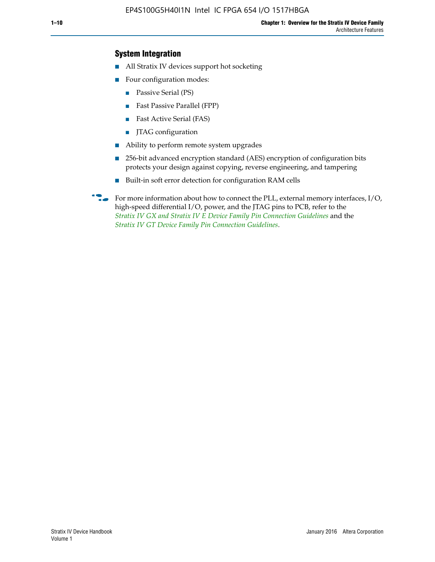### **System Integration**

- All Stratix IV devices support hot socketing
- Four configuration modes:
	- Passive Serial (PS)
	- Fast Passive Parallel (FPP)
	- Fast Active Serial (FAS)
	- JTAG configuration
- Ability to perform remote system upgrades
- 256-bit advanced encryption standard (AES) encryption of configuration bits protects your design against copying, reverse engineering, and tampering
- Built-in soft error detection for configuration RAM cells
- For more information about how to connect the PLL, external memory interfaces,  $I/O$ , high-speed differential I/O, power, and the JTAG pins to PCB, refer to the *[Stratix IV GX and Stratix IV E Device Family Pin Connection Guidelines](http://www.altera.com/literature/dp/stratix4/PCG-01005.pdf)* and the *[Stratix IV GT Device Family Pin Connection Guidelines](http://www.altera.com/literature/dp/stratix4/PCG-01006.pdf)*.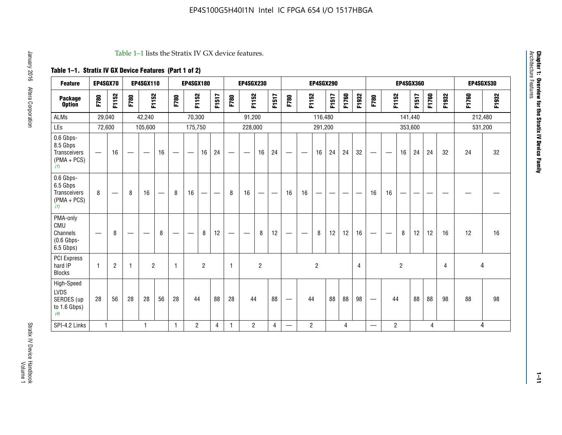#### Table 1–1 lists the Stratix IV GX device features.

## **Table 1–1. Stratix IV GX Device Features (Part 1 of 2)**

| <b>Feature</b>                                                 | EP4SGX70                 |                |                                | <b>EP4SGX110</b>  |    |                                | <b>EP4SGX180</b>               |                |       | <b>EP4SGX230</b><br><b>EP4SGX290</b> |                          |                |       | <b>EP4SGX360</b>                |                |                |       |       | <b>EP4SGX530</b> |                                 |                   |                |         |       |       |         |         |
|----------------------------------------------------------------|--------------------------|----------------|--------------------------------|-------------------|----|--------------------------------|--------------------------------|----------------|-------|--------------------------------------|--------------------------|----------------|-------|---------------------------------|----------------|----------------|-------|-------|------------------|---------------------------------|-------------------|----------------|---------|-------|-------|---------|---------|
| <b>Package</b><br><b>Option</b>                                | F780                     | F1152          | F780                           | F1152             |    | F780                           | F1152                          |                | F1517 | F780                                 | F1152                    |                | F1517 | F780                            | F1152          |                | F1517 | F1760 | F1932            | F780                            | F1152             |                | F1517   | F1760 | F1932 | F1760   | F1932   |
| <b>ALMs</b>                                                    | 29,040                   |                |                                | 42,240            |    |                                | 70,300                         |                |       |                                      | 91,200                   |                |       |                                 |                | 116,480        |       |       |                  |                                 |                   |                | 141,440 |       |       | 212,480 |         |
| LEs                                                            | 72,600                   |                |                                | 105,600           |    |                                | 175,750                        |                |       |                                      | 228,000                  |                |       |                                 |                | 291,200        |       |       |                  |                                 |                   |                | 353,600 |       |       |         | 531,200 |
| 0.6 Gbps-<br>8.5 Gbps<br>Transceivers<br>$(PMA + PCs)$<br>(1)  | $\overline{\phantom{0}}$ | 16             | $\hspace{0.05cm}$              | $\hspace{0.05cm}$ | 16 | $\hspace{0.05cm}$              | $\hspace{0.05cm}$              | 16             | 24    |                                      | $\overline{\phantom{a}}$ | 16             | 24    | —                               |                | 16             | 24    | 24    | 32               | $\overline{\phantom{0}}$        | $\hspace{0.05cm}$ | 16             | 24      | 24    | 32    | 24      | 32      |
| 0.6 Gbps-<br>6.5 Gbps<br>Transceivers<br>$(PMA + PCs)$<br>(1)  | 8                        |                | 8                              | 16                |    | 8                              | 16                             | ÷              |       | 8                                    | 16                       | —              |       | 16                              | 16             |                |       |       |                  | 16                              | 16                |                |         |       |       |         |         |
| PMA-only<br>CMU<br>Channels<br>$(0.6$ Gbps-<br>6.5 Gbps)       | $\overline{\phantom{0}}$ | 8              | $\qquad \qquad \longleftarrow$ |                   | 8  | $\qquad \qquad \longleftarrow$ | $\qquad \qquad \longleftarrow$ | 8              | 12    |                                      |                          | 8              | 12    | $\hspace{0.1mm}-\hspace{0.1mm}$ |                | 8              | 12    | 12    | 16               | $\overline{\phantom{0}}$        | $\hspace{0.05cm}$ | 8              | 12      | 12    | 16    | 12      | 16      |
| PCI Express<br>hard IP<br><b>Blocks</b>                        | $\mathbf{1}$             | $\overline{2}$ | $\mathbf 1$                    | $\overline{2}$    |    | $\mathbf{1}$                   |                                | $\overline{2}$ |       | $\mathbf{1}$                         |                          | $\overline{c}$ |       |                                 |                | $\overline{c}$ |       |       | $\overline{4}$   |                                 |                   | $\overline{2}$ |         |       | 4     |         | 4       |
| High-Speed<br><b>LVDS</b><br>SERDES (up<br>to 1.6 Gbps)<br>(4) | 28                       | 56             | 28                             | 28                | 56 | 28                             | 44                             |                | 88    | 28                                   | 44                       |                | 88    | —                               | 44             |                | 88    | 88    | 98               | $\hspace{0.1mm}-\hspace{0.1mm}$ | 44                |                | 88      | 88    | 98    | 88      | 98      |
| SPI-4.2 Links                                                  | $\mathbf{1}$             |                |                                | 1                 |    | $\mathbf{1}$                   | $\overline{c}$                 |                | 4     | 1                                    | $\overline{c}$           |                | 4     | —                               | $\overline{2}$ |                |       | 4     |                  | $\overline{\phantom{0}}$        | $\overline{2}$    |                |         | 4     |       |         | 4       |

**Chapter 1: Overview for the Stratix IV Device Family**

Chapter 1: Overview for the Stratix IV Device Family<br>Architecture Features

Architecture Features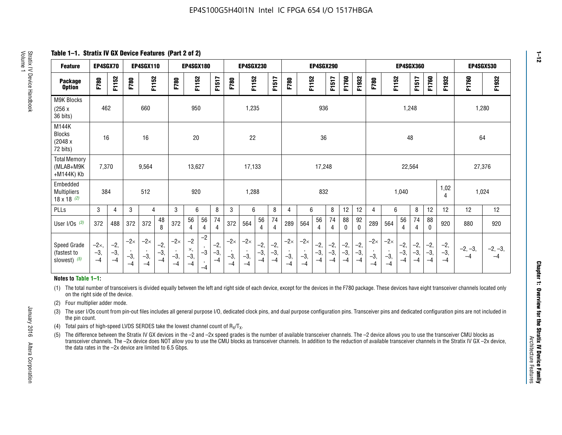**Table 1–1. Stratix IV GX Device Features (Part 2 of 2)**

| <b>Feature</b>                                       | EP4SGX70                |                        |                             | <b>EP4SGX110</b>            |                      |                             | <b>EP4SGX180</b>          |                                              |                        |                             | <b>EP4SGX230</b>            |                        |                      |                             |                             | EP4SGX290              |                      |                        | <b>EP4SGX360</b>       |                             |                             |                        |                      | <b>EP4SGX530</b>       |                        |                   |                   |
|------------------------------------------------------|-------------------------|------------------------|-----------------------------|-----------------------------|----------------------|-----------------------------|---------------------------|----------------------------------------------|------------------------|-----------------------------|-----------------------------|------------------------|----------------------|-----------------------------|-----------------------------|------------------------|----------------------|------------------------|------------------------|-----------------------------|-----------------------------|------------------------|----------------------|------------------------|------------------------|-------------------|-------------------|
| <b>Package</b><br><b>Option</b>                      | F780                    | F1152                  | F780                        | F1152                       |                      | F780                        | F1152                     |                                              | F1517                  | F780                        | F1152                       |                        | F1517                | F780                        | F1152                       |                        | F1517                | F1760                  | F1932                  | F780                        | F1152                       |                        | F1517                | F1760                  | F1932                  | F1760             | F1932             |
| M9K Blocks<br>(256x)<br>36 bits)                     | 462                     |                        |                             | 660                         |                      |                             | 950                       |                                              |                        |                             | 1,235                       |                        |                      |                             |                             | 936                    |                      |                        |                        |                             |                             | 1,248                  |                      |                        |                        | 1,280             |                   |
| M144K<br>Blocks<br>(2048 x<br>72 bits)               | 16                      |                        |                             | 16                          |                      |                             | 20                        |                                              |                        |                             | 22                          |                        |                      |                             |                             | 36                     |                      |                        |                        |                             |                             | 48                     |                      |                        |                        | 64                |                   |
| <b>Total Memory</b><br>(MLAB+M9K<br>+M144K) Kb       | 7,370                   |                        |                             | 9,564                       |                      |                             | 13,627                    |                                              |                        |                             | 17,133                      |                        |                      |                             |                             | 17,248                 |                      |                        |                        |                             |                             | 22,564                 |                      |                        |                        | 27,376            |                   |
| Embedded<br><b>Multipliers</b><br>$18 \times 18$ (2) | 384                     |                        |                             | 512                         |                      |                             | 920                       |                                              |                        |                             | 1,288                       |                        |                      |                             |                             | 832                    |                      |                        |                        |                             |                             | 1,040                  |                      |                        | 1,02<br>4              | 1,024             |                   |
| PLLs                                                 | 3                       | 4                      | 3                           | 4                           |                      | 3                           | 6                         |                                              | 8                      | 3                           | 6                           |                        | 8                    | 4                           | 6                           |                        | 8                    | 12                     | 12                     | 4                           | 6                           |                        | 8                    | 12                     | 12                     | 12                | 12                |
| User I/Os $(3)$                                      | 372                     | 488                    | 372                         | 372                         | 48<br>8              | 372                         | 56<br>4                   | 56<br>4                                      | 74<br>$\overline{4}$   | 372                         | 564                         | 56<br>4                | 74<br>$\overline{4}$ | 289                         | 564                         | 56<br>4                | 74<br>4              | 88<br>0                | 92<br>$\mathbf 0$      | 289                         | 564                         | 56<br>4                | 74<br>4              | 88<br>0                | 920                    | 880               | 920               |
| Speed Grade<br>(fastest to<br>slowest) (5)           | $-2x,$<br>$-3,$<br>$-4$ | $-2,$<br>$-3,$<br>$-4$ | $-2\times$<br>$-3,$<br>$-4$ | $-2\times$<br>$-3,$<br>$-4$ | $-2,$<br>-3,<br>$-4$ | $-2\times$<br>$-3,$<br>$-4$ | $-2$<br>×,<br>$-3,$<br>-4 | $-2$<br>$\,$<br>$-3$<br>$\mathbf{r}$<br>$-4$ | $-2,$<br>$-3,$<br>$-4$ | $-2\times$<br>$-3,$<br>$-4$ | $-2\times$<br>$-3,$<br>$-4$ | $-2,$<br>$-3,$<br>$-4$ | $-2,$<br>-3,<br>$-4$ | $-2\times$<br>$-3,$<br>$-4$ | $-2\times$<br>$-3,$<br>$-4$ | $-2,$<br>$-3,$<br>$-4$ | $-2,$<br>-3,<br>$-4$ | $-2,$<br>$-3,$<br>$-4$ | $-2,$<br>$-3,$<br>$-4$ | $-2\times$<br>$-3,$<br>$-4$ | $-2\times$<br>$-3,$<br>$-4$ | $-2,$<br>$-3,$<br>$-4$ | $-2,$<br>-3,<br>$-4$ | $-2,$<br>$-3,$<br>$-4$ | $-2,$<br>$-3,$<br>$-4$ | $-2, -3,$<br>$-4$ | $-2, -3,$<br>$-4$ |

#### **Notes to Table 1–1:**

(1) The total number of transceivers is divided equally between the left and right side of each device, except for the devices in the F780 package. These devices have eight transceiver channels located only on the right side of the device.

- (2) Four multiplier adder mode.
- (3) The user I/Os count from pin-out files includes all general purpose I/O, dedicated clock pins, and dual purpose configuration pins. Transceiver pins and dedicated configuration pins are not included in the pin count.
- (4) Total pairs of high-speed LVDS SERDES take the lowest channel count of  $R_X/T_X$ .
- (5) The difference between the Stratix IV GX devices in the –2 and –2x speed grades is the number of available transceiver channels. The –2 device allows you to use the transceiver CMU blocks as transceiver channels. The –2x device does NOT allow you to use the CMU blocks as transceiver channels. In addition to the reduction of available transceiver channels in the Stratix IV GX –2x device, the data rates in the –2x device are limited to 6.5 Gbps.

January 2016 Altera Corporation

Altera Corporation

January 2016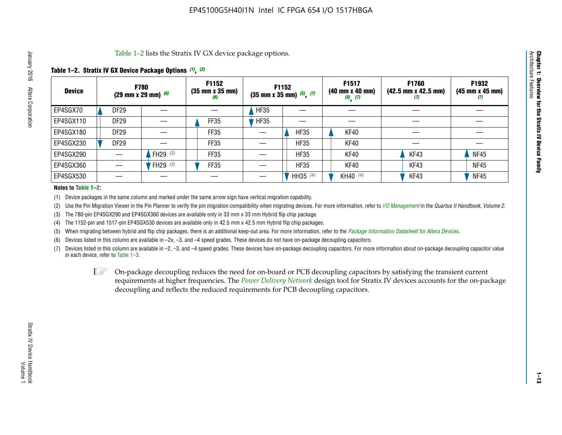Table 1–2 lists the Stratix IV GX device package options.

#### **Table 1–2. Stratix IV GX Device Package Options** *(1)***,** *(2)*

| <b>Device</b> |                  | <b>F780</b><br>(29 mm x 29 mm) $(6)$ | F1152<br>$(35 \, \text{mm} \times 35 \, \text{mm})$<br>(6) |             | <b>F1152</b><br>$(35 \text{ mm} \times 35 \text{ mm})$ $(5)$ , $(7)$ | F1517<br>(40 mm x 40 mm)<br>$(5)$ $(7)$ | <b>F1760</b><br>$(42.5 \text{ mm} \times 42.5 \text{ mm})$<br>Ø | F1932<br>$(45 \, \text{mm} \times 45 \, \text{mm})$<br>(7) |
|---------------|------------------|--------------------------------------|------------------------------------------------------------|-------------|----------------------------------------------------------------------|-----------------------------------------|-----------------------------------------------------------------|------------------------------------------------------------|
| EP4SGX70      | <b>DF29</b>      |                                      |                                                            | <b>HF35</b> |                                                                      |                                         |                                                                 |                                                            |
| EP4SGX110     | <b>DF29</b>      |                                      | FF35                                                       | <b>HF35</b> |                                                                      |                                         |                                                                 |                                                            |
| EP4SGX180     | DF <sub>29</sub> |                                      | FF35                                                       |             | <b>HF35</b>                                                          | KF40                                    |                                                                 |                                                            |
| EP4SGX230     | DF <sub>29</sub> |                                      | FF35                                                       |             | <b>HF35</b>                                                          | KF40                                    |                                                                 |                                                            |
| EP4SGX290     |                  | FH29 $(3)$                           | FF35                                                       |             | <b>HF35</b>                                                          | KF40                                    | KF43                                                            | <b>NF45</b>                                                |
| EP4SGX360     |                  | FH29 (3)                             | FF35                                                       |             | <b>HF35</b>                                                          | KF40                                    | KF43                                                            | <b>NF45</b>                                                |
| EP4SGX530     |                  |                                      |                                                            |             | HH35 $(4)$                                                           | KH40 (4)                                | KF43                                                            | <b>NF45</b>                                                |

#### **Notes to Table 1–2:**

(1) Device packages in the same column and marked under the same arrow sign have vertical migration capability.

(2) Use the Pin Migration Viewer in the Pin Planner to verify the pin migration compatibility when migrating devices. For more information, refer to *[I/O Management](http://www.altera.com/literature/hb/qts/qts_qii52013.pdf)* in the *Quartus II Handbook, Volume 2*.

(3) The 780-pin EP4SGX290 and EP4SGX360 devices are available only in 33 mm x 33 mm Hybrid flip chip package.

(4) The 1152-pin and 1517-pin EP4SGX530 devices are available only in 42.5 mm x 42.5 mm Hybrid flip chip packages.

(5) When migrating between hybrid and flip chip packages, there is an additional keep-out area. For more information, refer to the *[Package Information Datasheet for Altera Devices](http://www.altera.com/literature/ds/dspkg.pdf)*.

(6) Devices listed in this column are available in –2x, –3, and –4 speed grades. These devices do not have on-package decoupling capacitors.

(7) Devices listed in this column are available in –2, –3, and –4 speed grades. These devices have on-package decoupling capacitors. For more information about on-package decoupling capacitor value in each device, refer to Table 1–3.

 $\mathbb{L}$ s On-package decoupling reduces the need for on-board or PCB decoupling capacitors by satisfying the transient current requirements at higher frequencies. The *[Power Delivery Network](http://www.altera.com/literature/ug/pdn_tool_stxiv.zip)* design tool for Stratix IV devices accounts for the on-package decoupling and reflects the reduced requirements for PCB decoupling capacitors.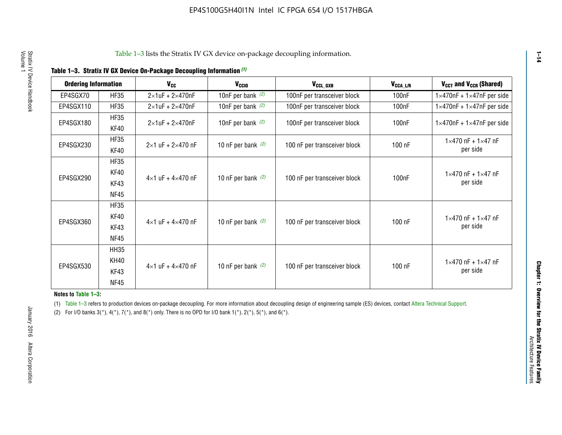|  |  | Table 1-3. Stratix IV GX Device On-Package Decoupling Information (1) |  |  |
|--|--|-----------------------------------------------------------------------|--|--|
|--|--|-----------------------------------------------------------------------|--|--|

| <b>Ordering Information</b> |                            | <b>V<sub>cc</sub></b>               | V <sub>ccio</sub>    | V <sub>CCL GXB</sub>         | V <sub>CCA_L/R</sub> | V <sub>CCT</sub> and V <sub>CCR</sub> (Shared)   |
|-----------------------------|----------------------------|-------------------------------------|----------------------|------------------------------|----------------------|--------------------------------------------------|
| EP4SGX70                    | <b>HF35</b>                | $2\times1$ uF + $2\times470$ nF     | 10nF per bank $(2)$  | 100nF per transceiver block  | 100 <sub>n</sub> F   | $1 \times 470$ nF + $1 \times 47$ nF per side    |
| EP4SGX110                   | <b>HF35</b>                | $2\times1$ uF + $2\times470$ nF     | 10nF per bank $(2)$  | 100nF per transceiver block  | 100 <sub>n</sub> F   | $1\times470$ nF + $1\times47$ nF per side        |
| EP4SGX180                   | <b>HF35</b><br>KF40        | $2\times1$ uF + $2\times470$ nF     | 10nF per bank $(2)$  | 100nF per transceiver block  | 100 <sub>nF</sub>    | $1 \times 470$ nF + $1 \times 47$ nF per side    |
| EP4SGX230                   | <b>HF35</b><br>KF40        | $2 \times 1$ uF + $2 \times 470$ nF | 10 nF per bank $(2)$ | 100 nF per transceiver block | 100 nF               | $1 \times 470$ nF + $1 \times 47$ nF<br>per side |
|                             | <b>HF35</b><br><b>KF40</b> |                                     |                      |                              |                      | $1 \times 470$ nF + $1 \times 47$ nF             |
| EP4SGX290                   | KF43<br><b>NF45</b>        | $4 \times 1$ uF + $4 \times 470$ nF | 10 nF per bank $(2)$ | 100 nF per transceiver block | 100nF                | per side                                         |
|                             | <b>HF35</b><br>KF40        |                                     |                      |                              |                      | $1 \times 470$ nF + $1 \times 47$ nF             |
| EP4SGX360                   | KF43<br><b>NF45</b>        | $4 \times 1$ uF + $4 \times 470$ nF | 10 nF per bank $(2)$ | 100 nF per transceiver block | 100 nF               | per side                                         |
|                             | <b>HH35</b>                |                                     |                      |                              |                      |                                                  |
| EP4SGX530                   | <b>KH40</b><br>KF43        | $4 \times 1$ uF + $4 \times 470$ nF | 10 nF per bank $(2)$ | 100 nF per transceiver block | 100 nF               | $1 \times 470$ nF + $1 \times 47$ nF<br>per side |
|                             | <b>NF45</b>                |                                     |                      |                              |                      |                                                  |

**Notes to Table 1–3:**

(1) Table 1-3 refers to production devices on-package decoupling. For more information about decoupling design of engineering sample (ES) devices, contact [Altera Technical Support](http://mysupport.altera.com/eservice/login.asp).

(2) For I/O banks  $3(*)$ ,  $4(*)$ ,  $7(*)$ , and  $8(*)$  only. There is no OPD for I/O bank  $1(*)$ ,  $2(*)$ ,  $5(*)$ , and  $6(*)$ .

**1–14**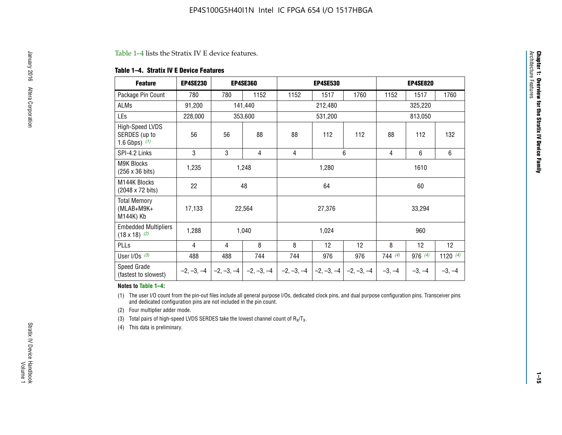#### Table 1–4 lists the Stratix IV E device features.

#### **Table 1–4. Stratix IV E Device Features**

| <b>Feature</b>                                      | <b>EP4SE230</b> |     | <b>EP4SE360</b>                          |              | <b>EP4SE530</b> |              | <b>EP4SE820</b> |          |                 |  |
|-----------------------------------------------------|-----------------|-----|------------------------------------------|--------------|-----------------|--------------|-----------------|----------|-----------------|--|
| Package Pin Count                                   | 780             | 780 | 1152                                     | 1152         | 1517            | 1760         | 1152            | 1517     | 1760            |  |
| ALMs                                                | 91,200          |     | 141,440                                  |              | 212,480         |              |                 | 325,220  |                 |  |
| LEs                                                 | 228,000         |     | 353,600                                  |              | 531,200         |              | 813,050         |          |                 |  |
| High-Speed LVDS<br>SERDES (up to<br>1.6 Gbps) $(1)$ | 56              | 56  | 88                                       | 88           | 112             | 112          | 88              | 112      | 132             |  |
| SPI-4.2 Links                                       | 3               | 3   | 4                                        | 4            |                 | 6            | $\overline{4}$  | 6        | 6               |  |
| M9K Blocks<br>(256 x 36 bits)                       | 1,235           |     | 1,248                                    |              | 1,280           |              |                 | 1610     |                 |  |
| M144K Blocks<br>(2048 x 72 bits)                    | 22              |     | 48                                       |              | 64              |              | 60              |          |                 |  |
| <b>Total Memory</b><br>(MLAB+M9K+<br>M144K) Kb      | 17,133          |     | 22,564                                   | 27,376       |                 |              |                 | 33,294   |                 |  |
| <b>Embedded Multipliers</b><br>$(18 \times 18)$ (2) | 1,288           |     | 1,040                                    |              | 1,024           |              |                 | 960      |                 |  |
| PLLs                                                | 4               | 4   | 8                                        | 8            | 12              | 12           | 8               | 12       | 12 <sup>2</sup> |  |
| User I/Os $(3)$                                     | 488             | 488 | 744                                      | 744          | 976             | 976          | 744(4)          | 976 (4)  | 1120 $(4)$      |  |
| Speed Grade<br>(fastest to slowest)                 |                 |     | $-2, -3, -4$ $ -2, -3, -4$ $ -2, -3, -4$ | $-2, -3, -4$ | $-2, -3, -4$    | $-2, -3, -4$ | $-3, -4$        | $-3, -4$ | $-3, -4$        |  |

#### **Notes to Table 1–4:**

(1) The user I/O count from the pin-out files include all general purpose I/Os, dedicated clock pins, and dual purpose configuration pins. Transceiver pins and dedicated configuration pins are not included in the pin count.

(2) Four multiplier adder mode.

(3) Total pairs of high-speed LVDS SERDES take the lowest channel count of  $R_X/T_X$ .

(4) This data is preliminary.

**Chapter 1: Overview for the Stratix IV Device Family**

**Chapter 1: Overview for the Stratix IV Device Family**<br>Architecture Faatures

Architecture Features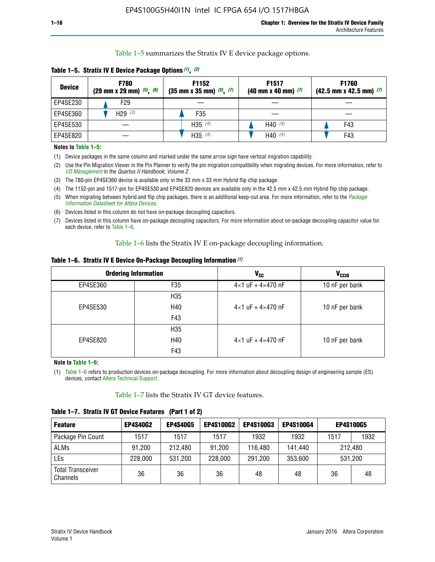Table 1–5 summarizes the Stratix IV E device package options.

| <b>Device</b> | <b>F780</b><br>$(29 \text{ mm} \times 29 \text{ mm})$ $(5)$ , $(6)$ | F1152<br>$(35 \text{ mm} \times 35 \text{ mm})$ $(5)$ $(7)$ | F <sub>1517</sub><br>$(40 \text{ mm} \times 40 \text{ mm})$ (7) | <b>F1760</b><br>$(42.5$ mm x 42.5 mm) $(7)$ |
|---------------|---------------------------------------------------------------------|-------------------------------------------------------------|-----------------------------------------------------------------|---------------------------------------------|
| EP4SE230      | F <sub>29</sub>                                                     |                                                             |                                                                 |                                             |
| EP4SE360      | H29 $(3)$                                                           | F35                                                         |                                                                 |                                             |
| EP4SE530      |                                                                     | H35 $(4)$                                                   | H40 $(4)$                                                       | F43                                         |
| EP4SE820      |                                                                     | H35 $(4)$                                                   | H40 $(4)$                                                       | F43                                         |

**Table 1–5. Stratix IV E Device Package Options** *(1)***,** *(2)*

#### **Notes to Table 1–5:**

(1) Device packages in the same column and marked under the same arrow sign have vertical migration capability.

(2) Use the Pin Migration Viewer in the Pin Planner to verify the pin migration compatibility when migrating devices. For more information, refer to *[I/O Management](http://www.altera.com/literature/hb/qts/qts_qii52013.pdf)* in the *Quartus II Handbook, Volume 2*.

(3) The 780-pin EP4SE360 device is available only in the 33 mm x 33 mm Hybrid flip chip package.

(4) The 1152-pin and 1517-pin for EP4SE530 and EP4SE820 devices are available only in the 42.5 mm x 42.5 mm Hybrid flip chip package.

(5) When migrating between hybrid and flip chip packages, there is an additional keep-out area. For more information, refer to the *[Package](http://www.altera.com/literature/ds/dspkg.pdf)  [Information Datasheet for Altera Devices](http://www.altera.com/literature/ds/dspkg.pdf)*.

(6) Devices listed in this column do not have on-package decoupling capacitors.

(7) Devices listed in this column have on-package decoupling capacitors. For more information about on-package decoupling capacitor value for each device, refer to Table 1–6.

Table 1–6 lists the Stratix IV E on-package decoupling information.

| Table 1–6. Stratix IV E Device On-Package Decoupling Information (1) |  |  |  |  |
|----------------------------------------------------------------------|--|--|--|--|
|----------------------------------------------------------------------|--|--|--|--|

|          | <b>Ordering Information</b> | <b>V<sub>cc</sub></b>               | <b>V<sub>CCIO</sub></b> |
|----------|-----------------------------|-------------------------------------|-------------------------|
| EP4SE360 | F35                         | $4 \times 1$ uF + $4 \times 470$ nF | 10 nF per bank          |
|          | H <sub>35</sub>             |                                     |                         |
| EP4SE530 | H40                         | $4 \times 1$ uF + $4 \times 470$ nF | 10 nF per bank          |
|          | F43                         |                                     |                         |
|          | H <sub>35</sub>             |                                     |                         |
| EP4SE820 | H40                         | $4 \times 1$ uF + $4 \times 470$ nF | 10 nF per bank          |
|          | F43                         |                                     |                         |

**Note to Table 1–6:**

(1) Table 1–6 refers to production devices on-package decoupling. For more information about decoupling design of engineering sample (ES) devices, contact [Altera Technical Support](http://mysupport.altera.com/eservice/login.asp).

Table 1–7 lists the Stratix IV GT device features.

| <b>Feature</b>                       | <b>EP4S40G2</b> | <b>EP4S40G5</b> | <b>EP4S100G2</b> | <b>EP4S100G3</b> | <b>EP4S100G4</b> | <b>EP4S100G5</b> |      |
|--------------------------------------|-----------------|-----------------|------------------|------------------|------------------|------------------|------|
| Package Pin Count                    | 1517            | 1517            | 1517             | 1932             | 1932             | 1517             | 1932 |
| <b>ALMs</b>                          | 91,200          | 212,480         | 91,200           | 116,480          | 141,440          | 212.480          |      |
| LEs                                  | 228,000         | 531,200         | 228,000          | 291,200          | 353,600          | 531,200          |      |
| <b>Total Transceiver</b><br>Channels | 36              | 36              | 36               | 48               | 48               | 36               | 48   |

**Table 1–7. Stratix IV GT Device Features (Part 1 of 2)**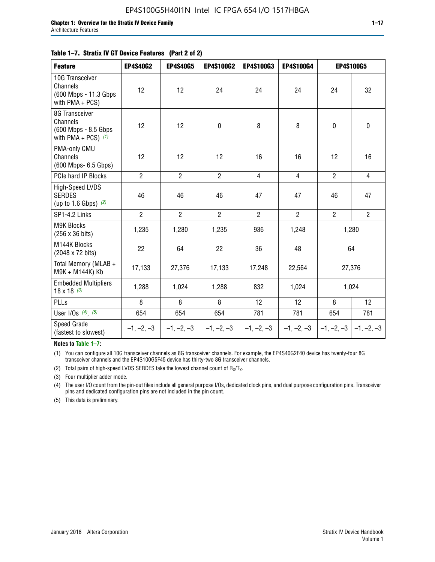| <b>Feature</b>                                                               | <b>EP4S40G2</b> | <b>EP4S40G5</b> | <b>EP4S100G2</b> | <b>EP4S100G3</b> | <b>EP4S100G4</b> | <b>EP4S100G5</b> |                |
|------------------------------------------------------------------------------|-----------------|-----------------|------------------|------------------|------------------|------------------|----------------|
| 10G Transceiver<br>Channels<br>(600 Mbps - 11.3 Gbps)<br>with $PMA + PCS$ )  | 12              | 12              | 24               | 24               | 24               | 24               | 32             |
| 8G Transceiver<br>Channels<br>(600 Mbps - 8.5 Gbps)<br>with PMA + PCS) $(1)$ | 12              | 12              | $\pmb{0}$        | 8                | 8                | $\mathbf 0$      | $\mathbf 0$    |
| PMA-only CMU<br>Channels<br>(600 Mbps- 6.5 Gbps)                             | 12              | 12              | 12               | 16               | 16               | 12               | 16             |
| PCIe hard IP Blocks                                                          | $\overline{2}$  | $\overline{2}$  | $\overline{2}$   | 4                | $\overline{4}$   | $\overline{2}$   | 4              |
| High-Speed LVDS<br><b>SERDES</b><br>(up to 1.6 Gbps) $(2)$                   | 46              | 46              | 46               | 47               | 47               | 46               | 47             |
| SP1-4.2 Links                                                                | $\overline{2}$  | $\overline{2}$  | $\overline{2}$   | $\overline{2}$   | $\overline{2}$   | $\overline{2}$   | $\overline{2}$ |
| <b>M9K Blocks</b><br>(256 x 36 bits)                                         | 1,235           | 1,280           | 1,235            | 936              | 1,248            |                  | 1,280          |
| M144K Blocks<br>(2048 x 72 bits)                                             | 22              | 64              | 22               | 36               | 48               |                  | 64             |
| Total Memory (MLAB +<br>M9K + M144K) Kb                                      | 17,133          | 27,376          | 17,133           | 17,248           | 22,564           |                  | 27,376         |
| <b>Embedded Multipliers</b><br>$18 \times 18^{(3)}$                          | 1,288           | 1,024           | 1,288            | 832              | 1,024            | 1,024            |                |
| PLLs                                                                         | 8               | 8               | 8                | 12               | 12               | 8                | 12             |
| User I/Os $(4)$ , $(5)$                                                      | 654             | 654             | 654              | 781              | 781              | 654              | 781            |
| Speed Grade<br>(fastest to slowest)                                          | $-1, -2, -3$    | $-1, -2, -3$    | $-1, -2, -3$     | $-1, -2, -3$     | $-1, -2, -3$     | $-1, -2, -3$     | $-1, -2, -3$   |

**Notes to Table 1–7:**

(1) You can configure all 10G transceiver channels as 8G transceiver channels. For example, the EP4S40G2F40 device has twenty-four 8G transceiver channels and the EP4S100G5F45 device has thirty-two 8G transceiver channels.

(2) Total pairs of high-speed LVDS SERDES take the lowest channel count of  $R_X/T_X$ .

(3) Four multiplier adder mode.

(4) The user I/O count from the pin-out files include all general purpose I/Os, dedicated clock pins, and dual purpose configuration pins. Transceiver pins and dedicated configuration pins are not included in the pin count.

(5) This data is preliminary.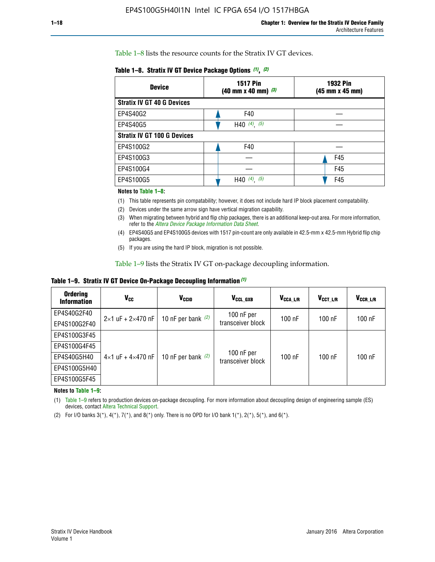Table 1–8 lists the resource counts for the Stratix IV GT devices.

| <b>Device</b>                      | <b>1517 Pin</b><br><b>1932 Pin</b><br>$(40 \text{ mm} \times 40 \text{ mm})$ $(3)$<br>(45 mm x 45 mm) |     |  |
|------------------------------------|-------------------------------------------------------------------------------------------------------|-----|--|
| <b>Stratix IV GT 40 G Devices</b>  |                                                                                                       |     |  |
| EP4S40G2                           | F40                                                                                                   |     |  |
| EP4S40G5                           | H40 $(4)$ , $(5)$                                                                                     |     |  |
| <b>Stratix IV GT 100 G Devices</b> |                                                                                                       |     |  |
| EP4S100G2                          | F40                                                                                                   |     |  |
| EP4S100G3                          |                                                                                                       | F45 |  |
| EP4S100G4                          |                                                                                                       | F45 |  |
| EP4S100G5                          | (5)<br>$(4)$ ,<br>H40                                                                                 | F45 |  |

#### **Notes to Table 1–8:**

(1) This table represents pin compatability; however, it does not include hard IP block placement compatability.

- (2) Devices under the same arrow sign have vertical migration capability.
- (3) When migrating between hybrid and flip chip packages, there is an additional keep-out area. For more information, refer to the *[Altera Device Package Information Data Sheet](http://www.altera.com/literature/ds/dspkg.pdf)*.
- (4) EP4S40G5 and EP4S100G5 devices with 1517 pin-count are only available in 42.5-mm x 42.5-mm Hybrid flip chip packages.
- (5) If you are using the hard IP block, migration is not possible.

Table 1–9 lists the Stratix IV GT on-package decoupling information.

**Table 1–9. Stratix IV GT Device On-Package Decoupling Information** *(1)*

| <b>Ordering</b><br><b>Information</b> | Vcc                                 | <b>V<sub>CCIO</sub></b> | V <sub>CCL GXB</sub>            | V <sub>CCA_L/R</sub> | V <sub>CCT L/R</sub> | V <sub>CCR_L/R</sub> |
|---------------------------------------|-------------------------------------|-------------------------|---------------------------------|----------------------|----------------------|----------------------|
| EP4S40G2F40                           | $2 \times 1$ uF + $2 \times 470$ nF | 10 nF per bank $(2)$    | 100 nF per<br>transceiver block | $100$ nF             | 100 nF               | $100$ nF             |
| EP4S100G2F40                          |                                     |                         |                                 |                      |                      |                      |
| EP4S100G3F45                          |                                     | 10 nF per bank $(2)$    | 100 nF per<br>transceiver block | $100$ nF             | $100$ nF             | $100$ nF             |
| EP4S100G4F45                          |                                     |                         |                                 |                      |                      |                      |
| EP4S40G5H40                           | $4 \times 1$ uF + $4 \times 470$ nF |                         |                                 |                      |                      |                      |
| EP4S100G5H40                          |                                     |                         |                                 |                      |                      |                      |
| EP4S100G5F45                          |                                     |                         |                                 |                      |                      |                      |

**Notes to Table 1–9:**

(1) Table 1–9 refers to production devices on-package decoupling. For more information about decoupling design of engineering sample (ES) devices, contact [Altera Technical Support](http://mysupport.altera.com/eservice/login.asp).

(2) For I/O banks  $3(*)$ ,  $4(*)$ ,  $7(*)$ , and  $8(*)$  only. There is no OPD for I/O bank  $1(*)$ ,  $2(*)$ ,  $5(*)$ , and  $6(*)$ .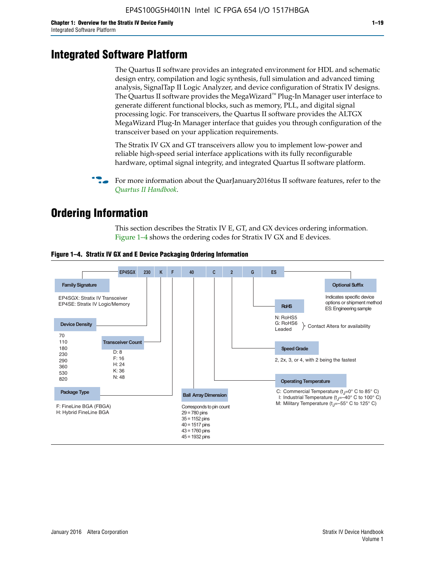# **Integrated Software Platform**

The Quartus II software provides an integrated environment for HDL and schematic design entry, compilation and logic synthesis, full simulation and advanced timing analysis, SignalTap II Logic Analyzer, and device configuration of Stratix IV designs. The Quartus II software provides the MegaWizard<sup> $M$ </sup> Plug-In Manager user interface to generate different functional blocks, such as memory, PLL, and digital signal processing logic. For transceivers, the Quartus II software provides the ALTGX MegaWizard Plug-In Manager interface that guides you through configuration of the transceiver based on your application requirements.

The Stratix IV GX and GT transceivers allow you to implement low-power and reliable high-speed serial interface applications with its fully reconfigurable hardware, optimal signal integrity, and integrated Quartus II software platform.

For more information about the QuarJanuary2016tus II software features, refer to the *[Quartus II Handbook](http://www.altera.com/literature/lit-qts.jsp)*.

# **Ordering Information**

This section describes the Stratix IV E, GT, and GX devices ordering information. Figure 1–4 shows the ordering codes for Stratix IV GX and E devices.



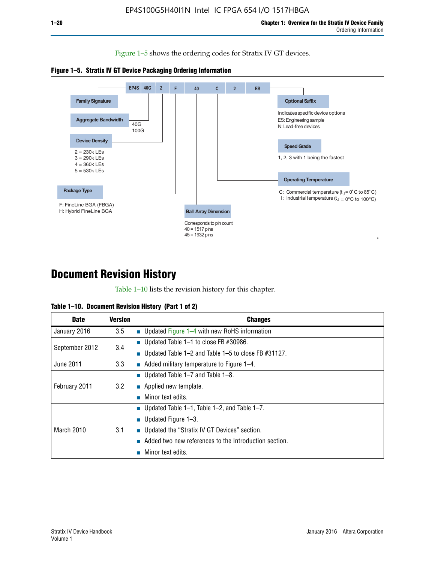Figure 1–5 shows the ordering codes for Stratix IV GT devices.





# **Document Revision History**

Table 1–10 lists the revision history for this chapter.

| Table 1–10. Document Revision History (Part 1 of 2) |  |  |  |  |  |
|-----------------------------------------------------|--|--|--|--|--|
|-----------------------------------------------------|--|--|--|--|--|

| <b>Date</b>       | <b>Version</b> | <b>Changes</b>                                              |
|-------------------|----------------|-------------------------------------------------------------|
| January 2016      | 3.5            | ■ Updated Figure 1–4 with new RoHS information              |
| September 2012    | 3.4            | ■ Updated Table 1–1 to close FB $#30986$ .                  |
|                   |                | Updated Table $1-2$ and Table $1-5$ to close FB $\#31127$ . |
| June 2011         | 3.3            | $\blacksquare$ Added military temperature to Figure 1–4.    |
| February 2011     |                | ■ Updated Table 1–7 and Table 1–8.                          |
|                   | 3.2            | $\blacksquare$ Applied new template.                        |
|                   |                | Minor text edits.                                           |
| <b>March 2010</b> |                | <b>Updated Table 1–1, Table 1–2, and Table 1–7.</b>         |
|                   |                | <b>U</b> Updated Figure 1–3.                                |
|                   | 3.1            | ■ Updated the "Stratix IV GT Devices" section.              |
|                   |                | Added two new references to the Introduction section.       |
|                   |                | Minor text edits.                                           |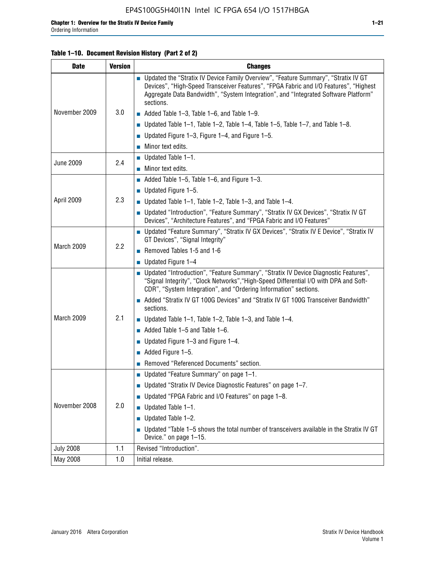#### **Table 1–10. Document Revision History (Part 2 of 2)**

| <b>Date</b>      | <b>Version</b> | <b>Changes</b>                                                                                                                                                                                                                                                                    |  |  |
|------------------|----------------|-----------------------------------------------------------------------------------------------------------------------------------------------------------------------------------------------------------------------------------------------------------------------------------|--|--|
|                  | 3.0            | ■ Updated the "Stratix IV Device Family Overview", "Feature Summary", "Stratix IV GT<br>Devices", "High-Speed Transceiver Features", "FPGA Fabric and I/O Features", "Highest<br>Aggregate Data Bandwidth", "System Integration", and "Integrated Software Platform"<br>sections. |  |  |
| November 2009    |                | $\blacksquare$ Added Table 1-3, Table 1-6, and Table 1-9.                                                                                                                                                                                                                         |  |  |
|                  |                | $\blacksquare$ Updated Table 1-1, Table 1-2, Table 1-4, Table 1-5, Table 1-7, and Table 1-8.                                                                                                                                                                                      |  |  |
|                  |                | ■ Updated Figure 1–3, Figure 1–4, and Figure 1–5.                                                                                                                                                                                                                                 |  |  |
|                  |                | $\blacksquare$ Minor text edits.                                                                                                                                                                                                                                                  |  |  |
| <b>June 2009</b> | 2.4            | $\blacksquare$ Updated Table 1-1.                                                                                                                                                                                                                                                 |  |  |
|                  |                | $\blacksquare$ Minor text edits.                                                                                                                                                                                                                                                  |  |  |
|                  |                | $\blacksquare$ Added Table 1–5, Table 1–6, and Figure 1–3.                                                                                                                                                                                                                        |  |  |
|                  |                | $\blacksquare$ Updated Figure 1-5.                                                                                                                                                                                                                                                |  |  |
| April 2009       | 2.3            | Updated Table $1-1$ , Table $1-2$ , Table $1-3$ , and Table $1-4$ .                                                                                                                                                                                                               |  |  |
|                  |                | ■ Updated "Introduction", "Feature Summary", "Stratix IV GX Devices", "Stratix IV GT<br>Devices", "Architecture Features", and "FPGA Fabric and I/O Features"                                                                                                                     |  |  |
|                  | 2.2            | ■ Updated "Feature Summary", "Stratix IV GX Devices", "Stratix IV E Device", "Stratix IV<br>GT Devices", "Signal Integrity"                                                                                                                                                       |  |  |
| March 2009       |                | Removed Tables 1-5 and 1-6                                                                                                                                                                                                                                                        |  |  |
|                  |                | $\blacksquare$ Updated Figure 1-4                                                                                                                                                                                                                                                 |  |  |
|                  |                | ■ Updated "Introduction", "Feature Summary", "Stratix IV Device Diagnostic Features",<br>"Signal Integrity", "Clock Networks", "High-Speed Differential I/O with DPA and Soft-<br>CDR", "System Integration", and "Ordering Information" sections.                                |  |  |
|                  |                | Added "Stratix IV GT 100G Devices" and "Stratix IV GT 100G Transceiver Bandwidth"<br>sections.                                                                                                                                                                                    |  |  |
| March 2009       | 2.1            | ■ Updated Table 1–1, Table 1–2, Table 1–3, and Table 1–4.                                                                                                                                                                                                                         |  |  |
|                  |                | $\blacksquare$ Added Table 1–5 and Table 1–6.                                                                                                                                                                                                                                     |  |  |
|                  |                | ■ Updated Figure 1–3 and Figure 1–4.                                                                                                                                                                                                                                              |  |  |
|                  |                | $\blacksquare$ Added Figure 1-5.                                                                                                                                                                                                                                                  |  |  |
|                  |                | Removed "Referenced Documents" section.                                                                                                                                                                                                                                           |  |  |
|                  | 2.0            | Updated "Feature Summary" on page 1-1.                                                                                                                                                                                                                                            |  |  |
|                  |                | ■ Updated "Stratix IV Device Diagnostic Features" on page 1-7.                                                                                                                                                                                                                    |  |  |
| November 2008    |                | Updated "FPGA Fabric and I/O Features" on page 1-8.                                                                                                                                                                                                                               |  |  |
|                  |                | $\blacksquare$ Updated Table 1-1.                                                                                                                                                                                                                                                 |  |  |
|                  |                | Updated Table 1-2.<br>П                                                                                                                                                                                                                                                           |  |  |
|                  |                | Updated "Table 1-5 shows the total number of transceivers available in the Stratix IV GT<br>Device." on page 1-15.                                                                                                                                                                |  |  |
| <b>July 2008</b> | 1.1            | Revised "Introduction".                                                                                                                                                                                                                                                           |  |  |
| May 2008         | 1.0            | Initial release.                                                                                                                                                                                                                                                                  |  |  |